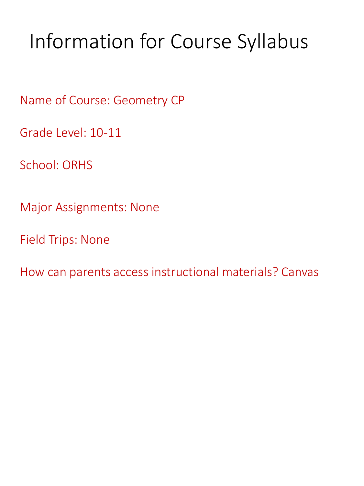# Information for Course Syllabus

Name of Course: Geometry CP

Grade Level: 10-11

School: ORHS

Major Assignments: None

Field Trips: None

How can parents access instructional materials? Canvas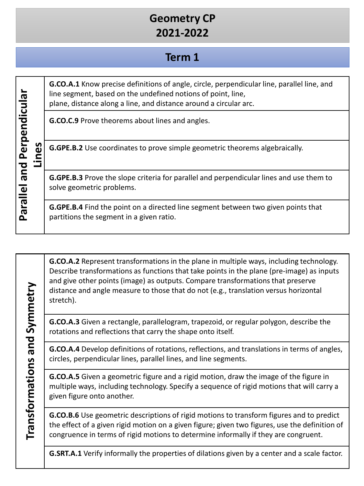# **Geometry CP 2021-2022**

### **Term 1**

**G.CO.A.1** Know precise definitions of angle, circle, perpendicular line, parallel line, and line segment, based on the undefined notions of point, line, plane, distance along a line, and distance around a circular arc.

**G.CO.C.9** Prove theorems about lines and angles.

**G.GPE.B.2** Use coordinates to prove simple geometric theorems algebraically.

**G.GPE.B.3** Prove the slope criteria for parallel and perpendicular lines and use them to solve geometric problems.

**G.GPE.B.4** Find the point on a directed line segment between two given points that partitions the segment in a given ratio.

**G.CO.A.2** Represent transformations in the plane in multiple ways, including technology. Describe transformations as functions that take points in the plane (pre-image) as inputs and give other points (image) as outputs. Compare transformations that preserve distance and angle measure to those that do not (e.g., translation versus horizontal stretch).

**G.CO.A.3** Given a rectangle, parallelogram, trapezoid, or regular polygon, describe the rotations and reflections that carry the shape onto itself.

**G.CO.A.4** Develop definitions of rotations, reflections, and translations in terms of angles, circles, perpendicular lines, parallel lines, and line segments.

**G.CO.A.5** Given a geometric figure and a rigid motion, draw the image of the figure in multiple ways, including technology. Specify a sequence of rigid motions that will carry a given figure onto another.

**G.CO.B.6** Use geometric descriptions of rigid motions to transform figures and to predict the effect of a given rigid motion on a given figure; given two figures, use the definition of congruence in terms of rigid motions to determine informally if they are congruent.

**G.SRT.A.1** Verify informally the properties of dilations given by a center and a scale factor.

Transformations and Symmetry **Transformations and Symmetry**

**Parallel and Perpendicular** 

Parallel and Perpendicular

**Lines**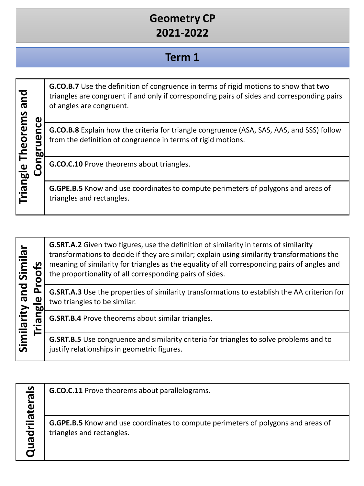# **Geometry CP 2021-2022**

### **Term 1**

| bue<br>ω                   | <b>G.CO.B.7</b> Use the definition of congruence in terms of rigid motions to show that two<br>triangles are congruent if and only if corresponding pairs of sides and corresponding pairs<br>of angles are congruent. |
|----------------------------|------------------------------------------------------------------------------------------------------------------------------------------------------------------------------------------------------------------------|
| <b>Theorems</b><br>O<br>bſ | <b>G.CO.B.8</b> Explain how the criteria for triangle congruence (ASA, SAS, AAS, and SSS) follow<br>from the definition of congruence in terms of rigid motions.                                                       |
|                            | G.CO.C.10 Prove theorems about triangles.                                                                                                                                                                              |
| Triangle                   | <b>G.GPE.B.5</b> Know and use coordinates to compute perimeters of polygons and areas of<br>triangles and rectangles.                                                                                                  |

| Similar    | <u>ي</u><br>n<br>ω<br>5<br>π | <b>G.SRT.A.2</b> Given two figures, use the definition of similarity in terms of similarity<br>transformations to decide if they are similar; explain using similarity transformations the<br>meaning of similarity for triangles as the equality of all corresponding pairs of angles and<br>the proportionality of all corresponding pairs of sides. |
|------------|------------------------------|--------------------------------------------------------------------------------------------------------------------------------------------------------------------------------------------------------------------------------------------------------------------------------------------------------------------------------------------------------|
| bue        |                              | G.SRT.A.3 Use the properties of similarity transformations to establish the AA criterion for<br>two triangles to be similar.                                                                                                                                                                                                                           |
| Similarity |                              | <b>G.SRT.B.4</b> Prove theorems about similar triangles.                                                                                                                                                                                                                                                                                               |
|            |                              | <b>G.SRT.B.5</b> Use congruence and similarity criteria for triangles to solve problems and to<br>justify relationships in geometric figures.                                                                                                                                                                                                          |

Quadrilaterals **Quadrilaterals**

**G.CO.C.11** Prove theorems about parallelograms.

**G.GPE.B.5** Know and use coordinates to compute perimeters of polygons and areas of triangles and rectangles.